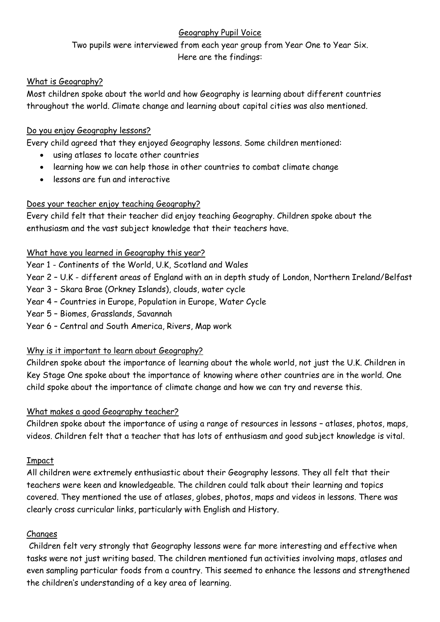# Geography Pupil Voice

Two pupils were interviewed from each year group from Year One to Year Six. Here are the findings:

#### What is Geography?

Most children spoke about the world and how Geography is learning about different countries throughout the world. Climate change and learning about capital cities was also mentioned.

# Do you enjoy Geography lessons?

Every child agreed that they enjoyed Geography lessons. Some children mentioned:

- using atlases to locate other countries
- learning how we can help those in other countries to combat climate change
- lessons are fun and interactive

#### Does your teacher enjoy teaching Geography?

Every child felt that their teacher did enjoy teaching Geography. Children spoke about the enthusiasm and the vast subject knowledge that their teachers have.

#### What have you learned in Geography this year?

Year 1 - Continents of the World, U.K, Scotland and Wales

Year 2 – U.K - different areas of England with an in depth study of London, Northern Ireland/Belfast

Year 3 – Skara Brae (Orkney Islands), clouds, water cycle

- Year 4 Countries in Europe, Population in Europe, Water Cycle
- Year 5 Biomes, Grasslands, Savannah
- Year 6 Central and South America, Rivers, Map work

# Why is it important to learn about Geography?

Children spoke about the importance of learning about the whole world, not just the U.K. Children in Key Stage One spoke about the importance of knowing where other countries are in the world. One child spoke about the importance of climate change and how we can try and reverse this.

# What makes a good Geography teacher?

Children spoke about the importance of using a range of resources in lessons – atlases, photos, maps, videos. Children felt that a teacher that has lots of enthusiasm and good subject knowledge is vital.

#### Impact

All children were extremely enthusiastic about their Geography lessons. They all felt that their teachers were keen and knowledgeable. The children could talk about their learning and topics covered. They mentioned the use of atlases, globes, photos, maps and videos in lessons. There was clearly cross curricular links, particularly with English and History.

# Changes

Children felt very strongly that Geography lessons were far more interesting and effective when tasks were not just writing based. The children mentioned fun activities involving maps, atlases and even sampling particular foods from a country. This seemed to enhance the lessons and strengthened the children's understanding of a key area of learning.